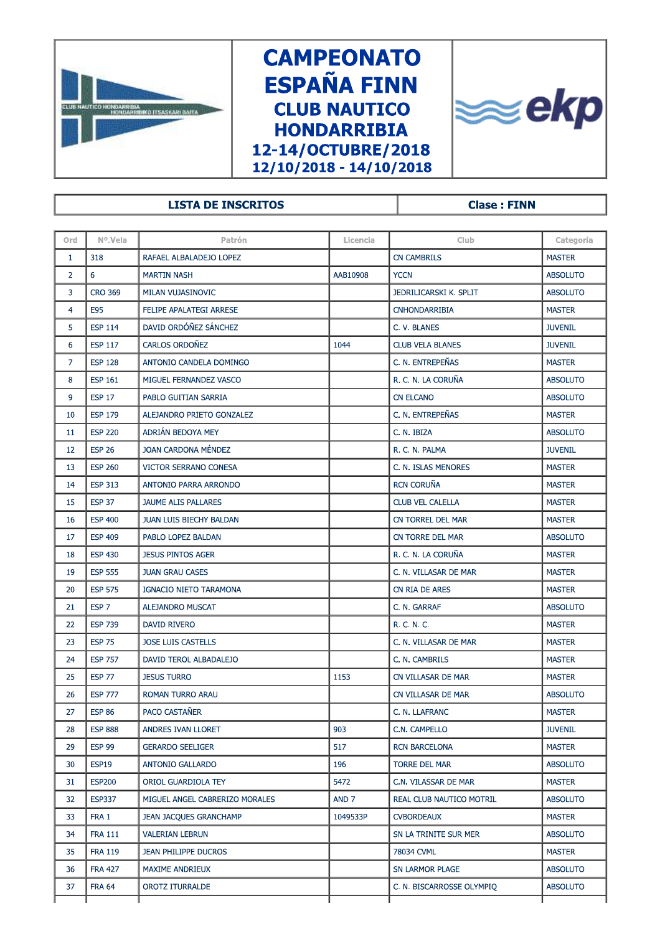

## **CAMPEONATO ESPAÑA FINN CLUB NAUTICO HONDARRIBIA** 12-14/OCTUBRE/2018  $12/10/2018 - 14/10/2018$



| 12/10/2018 - 14/10/2018 |                  |                                |                    |                          |                 |  |  |  |  |
|-------------------------|------------------|--------------------------------|--------------------|--------------------------|-----------------|--|--|--|--|
|                         |                  | <b>LISTA DE INSCRITOS</b>      | <b>Clase: FINN</b> |                          |                 |  |  |  |  |
|                         |                  |                                |                    |                          |                 |  |  |  |  |
| Ord                     | Nº.Vela          | Patrón                         | Licencia           | <b>Club</b>              | Categoría       |  |  |  |  |
| $\mathbf{1}$            | 318              | RAFAEL ALBALADEJO LOPEZ        |                    | <b>CN CAMBRILS</b>       | <b>MASTER</b>   |  |  |  |  |
| $\overline{2}$          | 6                | <b>MARTIN NASH</b>             | AAB10908           | <b>YCCN</b>              | <b>ABSOLUTO</b> |  |  |  |  |
| 3                       | <b>CRO 369</b>   | MILAN VUJASINOVIC              |                    | JEDRILICARSKI K. SPLIT   | <b>ABSOLUTO</b> |  |  |  |  |
| 4                       | E95              | FELIPE APALATEGI ARRESE        |                    | <b>CNHONDARRIBIA</b>     | <b>MASTER</b>   |  |  |  |  |
| 5                       | <b>ESP 114</b>   | DAVID ORDÓÑEZ SÁNCHEZ          |                    | C. V. BLANES             | <b>JUVENIL</b>  |  |  |  |  |
| 6                       | <b>ESP 117</b>   | CARLOS ORDOÑEZ                 | 1044               | <b>CLUB VELA BLANES</b>  | <b>JUVENIL</b>  |  |  |  |  |
| $\overline{7}$          | <b>ESP 128</b>   | ANTONIO CANDELA DOMINGO        |                    | C. N. ENTREPEÑAS         | <b>MASTER</b>   |  |  |  |  |
| 8                       | <b>ESP 161</b>   | MIGUEL FERNANDEZ VASCO         |                    | R. C. N. LA CORUÑA       | <b>ABSOLUTO</b> |  |  |  |  |
| 9                       | <b>ESP 17</b>    | PABLO GUITIAN SARRIA           |                    | <b>CN ELCANO</b>         | <b>ABSOLUTO</b> |  |  |  |  |
| 10                      | <b>ESP 179</b>   | ALEJANDRO PRIETO GONZALEZ      |                    | C. N. ENTREPEÑAS         | <b>MASTER</b>   |  |  |  |  |
| 11                      | <b>ESP 220</b>   | ADRIAN BEDOYA MEY              |                    | C. N. IBIZA              | <b>ABSOLUTO</b> |  |  |  |  |
| 12                      | <b>ESP 26</b>    | JOAN CARDONA MÉNDEZ            |                    | R. C. N. PALMA           | <b>JUVENIL</b>  |  |  |  |  |
| 13                      | <b>ESP 260</b>   | <b>VICTOR SERRANO CONESA</b>   |                    | C. N. ISLAS MENORES      | <b>MASTER</b>   |  |  |  |  |
| 14                      | <b>ESP 313</b>   | ANTONIO PARRA ARRONDO          |                    | <b>RCN CORUÑA</b>        | <b>MASTER</b>   |  |  |  |  |
| 15                      | <b>ESP 37</b>    | JAUME ALIS PALLARES            |                    | <b>CLUB VEL CALELLA</b>  | <b>MASTER</b>   |  |  |  |  |
| 16                      | <b>ESP 400</b>   | JUAN LUIS BIECHY BALDAN        |                    | CN TORREL DEL MAR        | <b>MASTER</b>   |  |  |  |  |
| 17                      | <b>ESP 409</b>   | PABLO LOPEZ BALDAN             |                    | CN TORRE DEL MAR         | <b>ABSOLUTO</b> |  |  |  |  |
| 18                      | <b>ESP 430</b>   | <b>JESUS PINTOS AGER</b>       |                    | R. C. N. LA CORUÑA       | <b>MASTER</b>   |  |  |  |  |
| 19                      | <b>ESP 555</b>   | <b>JUAN GRAU CASES</b>         |                    | C. N. VILLASAR DE MAR    | <b>MASTER</b>   |  |  |  |  |
| 20                      | <b>ESP 575</b>   | IGNACIO NIETO TARAMONA         |                    | CN RIA DE ARES           | <b>MASTER</b>   |  |  |  |  |
| 21                      | ESP <sub>7</sub> | ALEJANDRO MUSCAT               |                    | C. N. GARRAF             | <b>ABSOLUTO</b> |  |  |  |  |
| 22                      | <b>ESP 739</b>   | <b>DAVID RIVERO</b>            |                    | R. C. N. C.              | <b>MASTER</b>   |  |  |  |  |
| 23                      | <b>ESP 75</b>    | <b>JOSE LUIS CASTELLS</b>      |                    | C. N. VILLASAR DE MAR    | <b>MASTER</b>   |  |  |  |  |
| 24                      | <b>ESP 757</b>   | DAVID TEROL ALBADALEJO         |                    | C. N. CAMBRILS           | <b>MASTER</b>   |  |  |  |  |
| 25                      | <b>ESP 77</b>    | <b>JESUS TURRO</b>             | 1153               | CN VILLASAR DE MAR       | <b>MASTER</b>   |  |  |  |  |
| 26                      | <b>ESP 777</b>   | ROMAN TURRO ARAU               |                    | CN VILLASAR DE MAR       | <b>ABSOLUTO</b> |  |  |  |  |
| 27                      | <b>ESP 86</b>    | PACO CASTAÑER                  |                    | C. N. LLAFRANC           | <b>MASTER</b>   |  |  |  |  |
| 28                      | <b>ESP 888</b>   | ANDRES IVAN LLORET             | 903                | C.N. CAMPELLO            | <b>JUVENIL</b>  |  |  |  |  |
| 29                      | <b>ESP 99</b>    | <b>GERARDO SEELIGER</b>        | 517                | <b>RCN BARCELONA</b>     | <b>MASTER</b>   |  |  |  |  |
| 30                      | ESP19            | ANTONIO GALLARDO               | 196                | TORRE DEL MAR            | <b>ABSOLUTO</b> |  |  |  |  |
| 31                      | <b>ESP200</b>    | ORIOL GUARDIOLA TEY            | 5472               | C.N. VILASSAR DE MAR     | <b>MASTER</b>   |  |  |  |  |
| 32                      | <b>ESP337</b>    | MIGUEL ANGEL CABRERIZO MORALES | AND <sub>7</sub>   | REAL CLUB NAUTICO MOTRIL | <b>ABSOLUTO</b> |  |  |  |  |
| 33                      | FRA 1            | <b>JEAN JACQUES GRANCHAMP</b>  | 1049533P           | <b>CVBORDEAUX</b>        | <b>MASTER</b>   |  |  |  |  |
| 34                      | <b>FRA 111</b>   | <b>VALERIAN LEBRUN</b>         |                    | SN LA TRINITE SUR MER    | <b>ABSOLUTO</b> |  |  |  |  |
| 35                      | <b>FRA 119</b>   | JEAN PHILIPPE DUCROS           |                    | 78034 CVML               | <b>MASTER</b>   |  |  |  |  |

36 FRA 427 MAXIME ANDRIEUX **A BYLIC ANDRIEUS A BOLUTO** 37 FRA 64 OROTZ ITURRALDE **ABSOLUTO C. N. BISCARROSSE OLYMPIQ ABSOLUTO**